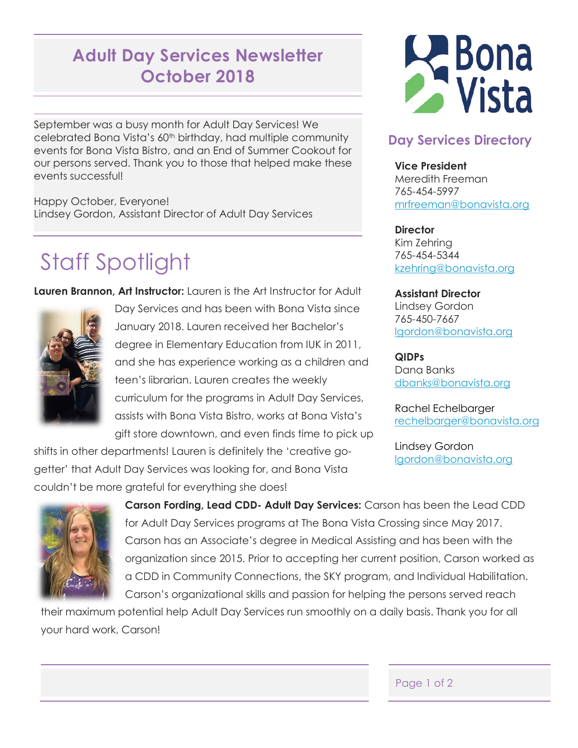## **Adult Day Services Newsletter October 2018**

September was a busy month for Adult Day Services! We celebrated Bona Vista's 60th birthday, had multiple community events for Bona Vista Bistro, and an End of Summer Cookout for our persons served. Thank you to those that helped make these events successful!

Happy October, Everyone! Lindsey Gordon, Assistant Director of Adult Day Services

# Staff Spotlight

**Lauren Brannon, Art Instructor:** Lauren is the Art Instructor for Adult



Day Services and has been with Bona Vista since January 2018. Lauren received her Bachelor's degree in Elementary Education from IUK in 2011, and she has experience working as a children and teen's librarian. Lauren creates the weekly curriculum for the programs in Adult Day Services, assists with Bona Vista Bistro, works at Bona Vista's gift store downtown, and even finds time to pick up

shifts in other departments! Lauren is definitely the 'creative gogetter' that Adult Day Services was looking for, and Bona Vista couldn't be more grateful for everything she does!



**Carson Fording, Lead CDD- Adult Day Services:** Carson has been the Lead CDD for Adult Day Services programs at The Bona Vista Crossing since May 2017. Carson has an Associate's degree in Medical Assisting and has been with the organization since 2015. Prior to accepting her current position, Carson worked as a CDD in Community Connections, the SKY program, and Individual Habilitation. Carson's organizational skills and passion for helping the persons served reach

their maximum potential help Adult Day Services run smoothly on a daily basis. Thank you for all your hard work, Carson!



### **Day Services Directory**

**Vice President** Meredith Freeman 765-454-5997 [mrfreeman@bonavista.org](mailto:mrfreeman@bonavista.org)

**Director** Kim Zehring 765-454-5344 [kzehring@bonavista.org](mailto:kzehring@bonavista.org)

#### **Assistant Director**

Lindsey Gordon 765-450-7667 [lgordon@bonavista.org](mailto:lgordon@bonavista.org)

**QIDPs** Dana Banks [dbanks@bonavista.org](mailto:dbanks@bonavista.org)

Rachel Echelbarger [rechelbarger@bonavista.org](file:///C:/Users/Lindsey/Documents/work/rechelbarger@bonavista.org)

Lindsey Gordon lgordon@bonavista.org

#### Page 1 of 2